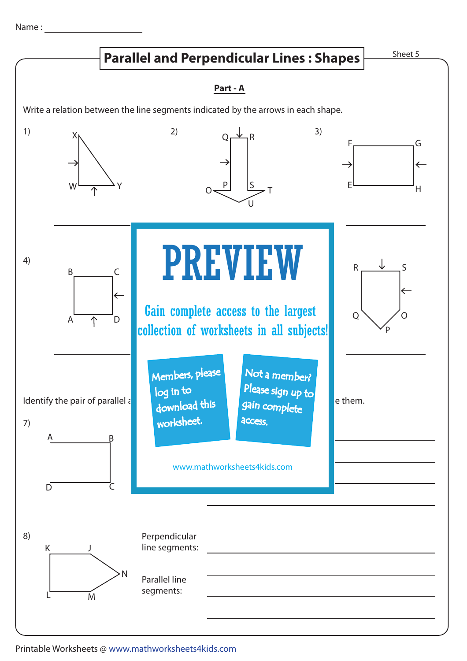